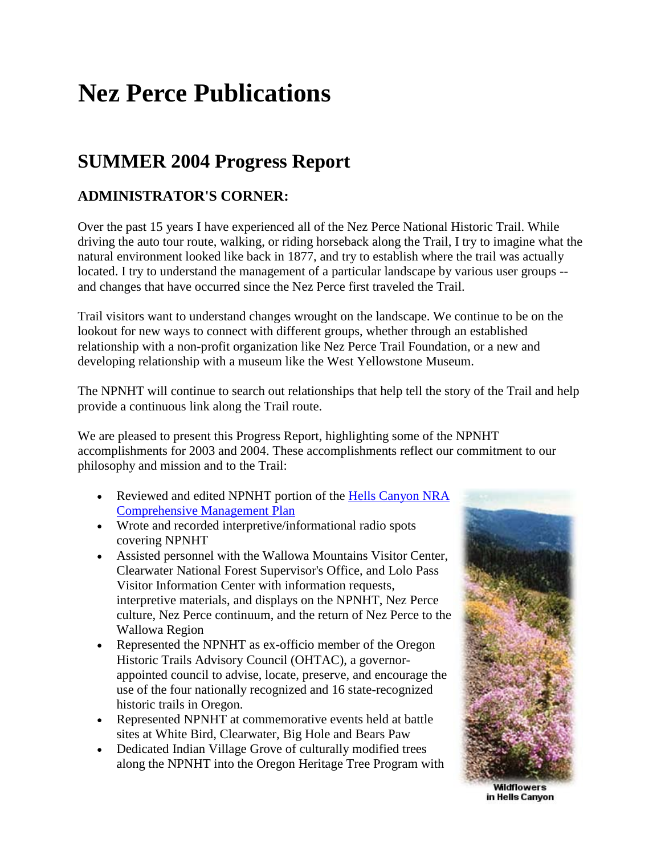## **Nez Perce Publications**

### **SUMMER 2004 Progress Report**

#### **ADMINISTRATOR'S CORNER:**

Over the past 15 years I have experienced all of the Nez Perce National Historic Trail. While driving the auto tour route, walking, or riding horseback along the Trail, I try to imagine what the natural environment looked like back in 1877, and try to establish where the trail was actually located. I try to understand the management of a particular landscape by various user groups - and changes that have occurred since the Nez Perce first traveled the Trail.

Trail visitors want to understand changes wrought on the landscape. We continue to be on the lookout for new ways to connect with different groups, whether through an established relationship with a non-profit organization like Nez Perce Trail Foundation, or a new and developing relationship with a museum like the West Yellowstone Museum.

The NPNHT will continue to search out relationships that help tell the story of the Trail and help provide a continuous link along the Trail route.

We are pleased to present this Progress Report, highlighting some of the NPNHT accomplishments for 2003 and 2004. These accomplishments reflect our commitment to our philosophy and mission and to the Trail:

- Reviewed and edited NPNHT portion of the Hells Canyon NRA [Comprehensive Management Plan](http://www.fs.fed.us/hellscanyon/about_us/planning/)
- Wrote and recorded interpretive/informational radio spots covering NPNHT
- Assisted personnel with the Wallowa Mountains Visitor Center, Clearwater National Forest Supervisor's Office, and Lolo Pass Visitor Information Center with information requests, interpretive materials, and displays on the NPNHT, Nez Perce culture, Nez Perce continuum, and the return of Nez Perce to the Wallowa Region
- Represented the NPNHT as ex-officio member of the Oregon Historic Trails Advisory Council (OHTAC), a governorappointed council to advise, locate, preserve, and encourage the use of the four nationally recognized and 16 state-recognized historic trails in Oregon.
- Represented NPNHT at commemorative events held at battle sites at White Bird, Clearwater, Big Hole and Bears Paw
- Dedicated Indian Village Grove of culturally modified trees along the NPNHT into the Oregon Heritage Tree Program with



**Wildflowers** in Hells Canyon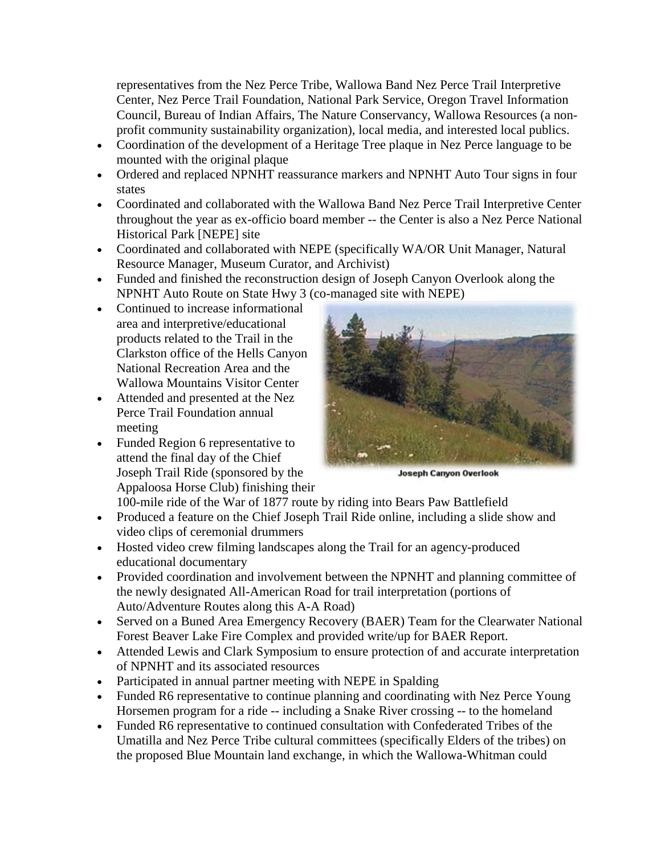representatives from the Nez Perce Tribe, Wallowa Band Nez Perce Trail Interpretive Center, Nez Perce Trail Foundation, National Park Service, Oregon Travel Information Council, Bureau of Indian Affairs, The Nature Conservancy, Wallowa Resources (a nonprofit community sustainability organization), local media, and interested local publics.

- Coordination of the development of a Heritage Tree plaque in Nez Perce language to be mounted with the original plaque
- Ordered and replaced NPNHT reassurance markers and NPNHT Auto Tour signs in four states
- Coordinated and collaborated with the Wallowa Band Nez Perce Trail Interpretive Center throughout the year as ex-officio board member -- the Center is also a Nez Perce National Historical Park [NEPE] site
- Coordinated and collaborated with NEPE (specifically WA/OR Unit Manager, Natural Resource Manager, Museum Curator, and Archivist)
- Funded and finished the reconstruction design of Joseph Canyon Overlook along the NPNHT Auto Route on State Hwy 3 (co-managed site with NEPE)
- Continued to increase informational area and interpretive/educational products related to the Trail in the Clarkston office of the Hells Canyon National Recreation Area and the Wallowa Mountains Visitor Center
- Attended and presented at the Nez Perce Trail Foundation annual meeting
- Funded Region 6 representative to attend the final day of the Chief Joseph Trail Ride (sponsored by the Appaloosa Horse Club) finishing their



**Joseph Canyon Overlook** 

100-mile ride of the War of 1877 route by riding into Bears Paw Battlefield

- Produced a feature on the Chief Joseph Trail Ride online, including a slide show and video clips of ceremonial drummers
- Hosted video crew filming landscapes along the Trail for an agency-produced educational documentary
- Provided coordination and involvement between the NPNHT and planning committee of the newly designated All-American Road for trail interpretation (portions of Auto/Adventure Routes along this A-A Road)
- Served on a Buned Area Emergency Recovery (BAER) Team for the Clearwater National Forest Beaver Lake Fire Complex and provided write/up for BAER Report.
- Attended Lewis and Clark Symposium to ensure protection of and accurate interpretation of NPNHT and its associated resources
- Participated in annual partner meeting with NEPE in Spalding
- Funded R6 representative to continue planning and coordinating with Nez Perce Young Horsemen program for a ride -- including a Snake River crossing -- to the homeland
- Funded R6 representative to continued consultation with Confederated Tribes of the Umatilla and Nez Perce Tribe cultural committees (specifically Elders of the tribes) on the proposed Blue Mountain land exchange, in which the Wallowa-Whitman could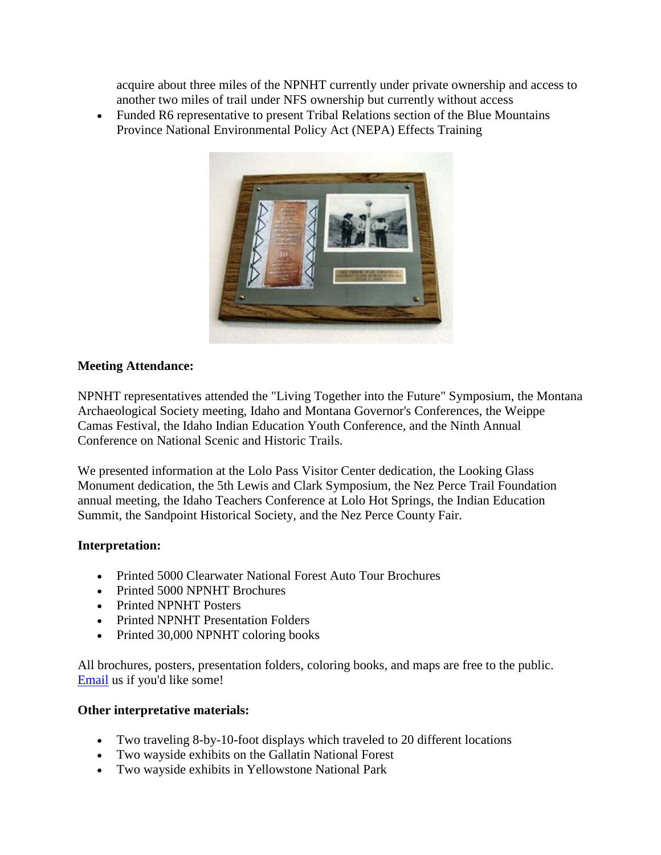acquire about three miles of the NPNHT currently under private ownership and access to another two miles of trail under NFS ownership but currently without access

• Funded R6 representative to present Tribal Relations section of the Blue Mountains Province National Environmental Policy Act (NEPA) Effects Training



#### **Meeting Attendance:**

NPNHT representatives attended the "Living Together into the Future" Symposium, the Montana Archaeological Society meeting, Idaho and Montana Governor's Conferences, the Weippe Camas Festival, the Idaho Indian Education Youth Conference, and the Ninth Annual Conference on National Scenic and Historic Trails.

We presented information at the Lolo Pass Visitor Center dedication, the Looking Glass Monument dedication, the 5th Lewis and Clark Symposium, the Nez Perce Trail Foundation annual meeting, the Idaho Teachers Conference at Lolo Hot Springs, the Indian Education Summit, the Sandpoint Historical Society, and the Nez Perce County Fair.

#### **Interpretation:**

- Printed 5000 Clearwater National Forest Auto Tour Brochures
- Printed 5000 NPNHT Brochures
- Printed NPNHT Posters
- Printed NPNHT Presentation Folders
- Printed 30,000 NPNHT coloring books

All brochures, posters, presentation folders, coloring books, and maps are free to the public. [Email](mailto:smcfarland01@fs.fed.us) us if you'd like some!

#### **Other interpretative materials:**

- Two traveling 8-by-10-foot displays which traveled to 20 different locations
- Two wayside exhibits on the Gallatin National Forest
- Two wayside exhibits in Yellowstone National Park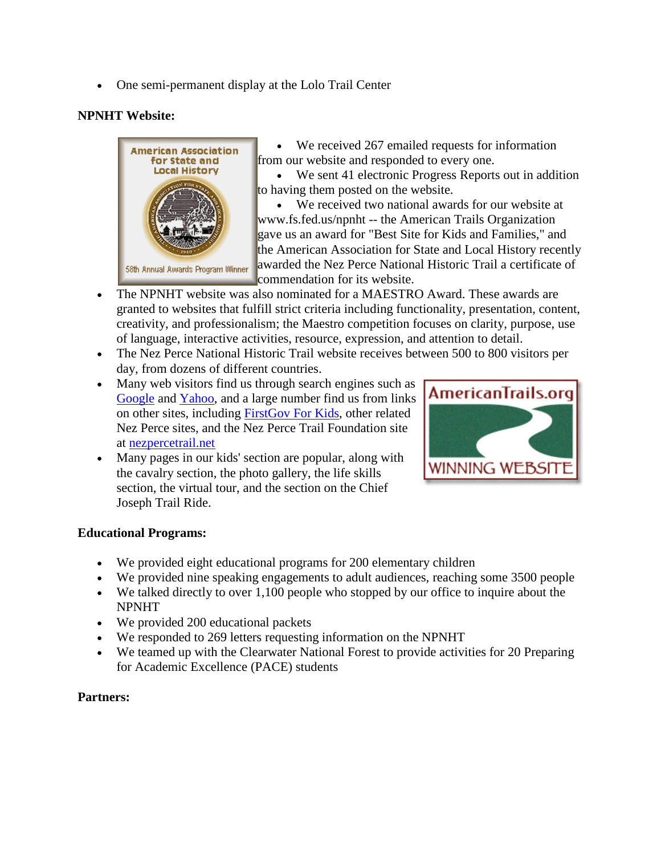• One semi-permanent display at the Lolo Trail Center

#### **NPNHT Website:**



• We received 267 emailed requests for information from our website and responded to every one.

• We sent 41 electronic Progress Reports out in addition to having them posted on the website.

• We received two national awards for our website at www.fs.fed.us/npnht -- the American Trails Organization gave us an award for "Best Site for Kids and Families," and the American Association for State and Local History recently awarded the Nez Perce National Historic Trail a certificate of commendation for its website.

- The NPNHT website was also nominated for a MAESTRO Award. These awards are granted to websites that fulfill strict criteria including functionality, presentation, content, creativity, and professionalism; the Maestro competition focuses on clarity, purpose, use of language, interactive activities, resource, expression, and attention to detail.
- The Nez Perce National Historic Trail website receives between 500 to 800 visitors per day, from dozens of different countries.
- Many web visitors find us through search engines such as [Google](http://google.com/) and [Yahoo,](http://yahoo.com/) and a large number find us from links on other sites, including [FirstGov For Kids,](http://www.kids.gov/) other related Nez Perce sites, and the Nez Perce Trail Foundation site at [nezpercetrail.net](http://nezpercetrail.net/)
- Many pages in our kids' section are popular, along with the cavalry section, the photo gallery, the life skills section, the virtual tour, and the section on the Chief Joseph Trail Ride.



#### **Educational Programs:**

- We provided eight educational programs for 200 elementary children
- We provided nine speaking engagements to adult audiences, reaching some 3500 people
- We talked directly to over 1,100 people who stopped by our office to inquire about the NPNHT
- We provided 200 educational packets
- We responded to 269 letters requesting information on the NPNHT
- We teamed up with the Clearwater National Forest to provide activities for 20 Preparing for Academic Excellence (PACE) students

#### **Partners:**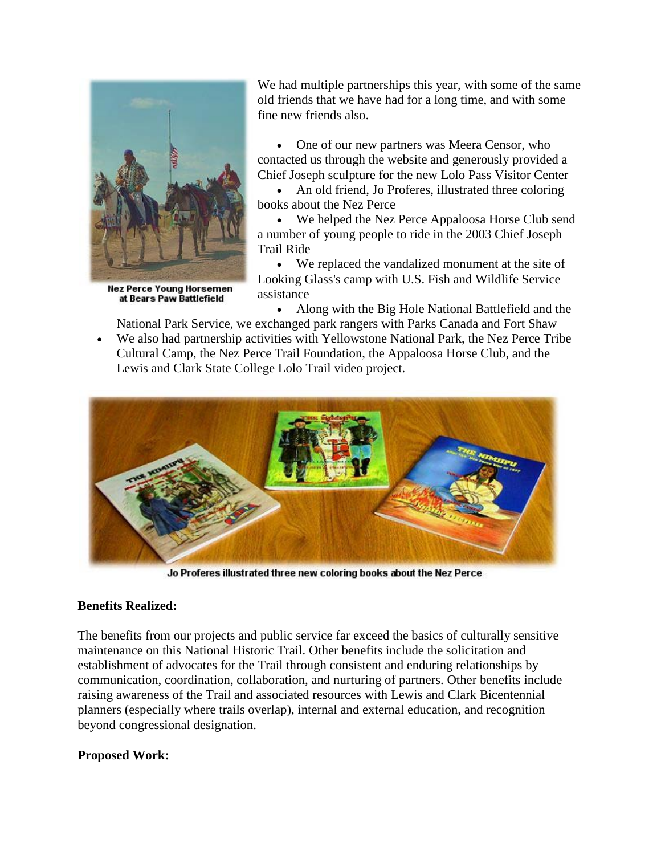

**Nez Perce Young Horsemen** at Bears Paw Battlefield

We had multiple partnerships this year, with some of the same old friends that we have had for a long time, and with some fine new friends also.

• One of our new partners was Meera Censor, who contacted us through the website and generously provided a Chief Joseph sculpture for the new Lolo Pass Visitor Center

• An old friend, Jo Proferes, illustrated three coloring books about the Nez Perce

• We helped the Nez Perce Appaloosa Horse Club send a number of young people to ride in the 2003 Chief Joseph Trail Ride

• We replaced the vandalized monument at the site of Looking Glass's camp with U.S. Fish and Wildlife Service assistance

• Along with the Big Hole National Battlefield and the National Park Service, we exchanged park rangers with Parks Canada and Fort Shaw

• We also had partnership activities with Yellowstone National Park, the Nez Perce Tribe Cultural Camp, the Nez Perce Trail Foundation, the Appaloosa Horse Club, and the Lewis and Clark State College Lolo Trail video project.



Jo Proferes illustrated three new coloring books about the Nez Perce

#### **Benefits Realized:**

The benefits from our projects and public service far exceed the basics of culturally sensitive maintenance on this National Historic Trail. Other benefits include the solicitation and establishment of advocates for the Trail through consistent and enduring relationships by communication, coordination, collaboration, and nurturing of partners. Other benefits include raising awareness of the Trail and associated resources with Lewis and Clark Bicentennial planners (especially where trails overlap), internal and external education, and recognition beyond congressional designation.

#### **Proposed Work:**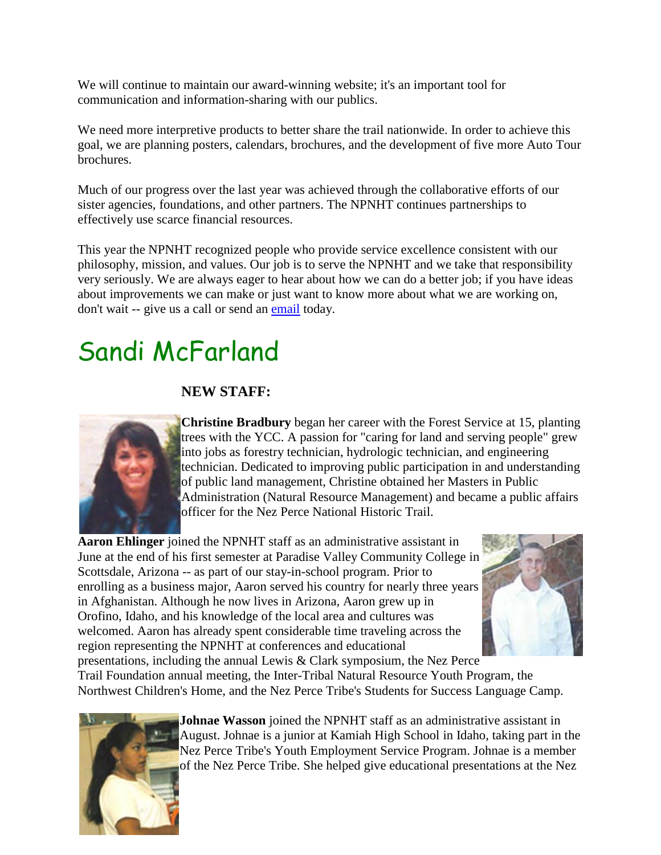We will continue to maintain our award-winning website; it's an important tool for communication and information-sharing with our publics.

We need more interpretive products to better share the trail nationwide. In order to achieve this goal, we are planning posters, calendars, brochures, and the development of five more Auto Tour brochures.

Much of our progress over the last year was achieved through the collaborative efforts of our sister agencies, foundations, and other partners. The NPNHT continues partnerships to effectively use scarce financial resources.

This year the NPNHT recognized people who provide service excellence consistent with our philosophy, mission, and values. Our job is to serve the NPNHT and we take that responsibility very seriously. We are always eager to hear about how we can do a better job; if you have ideas about improvements we can make or just want to know more about what we are working on, don't wait -- give us a call or send an [email](mailto:smcfarland01@fs.fed.us) today.

# Sandi McFarland

#### **NEW STAFF:**



**Christine Bradbury** began her career with the Forest Service at 15, planting trees with the YCC. A passion for "caring for land and serving people" grew into jobs as forestry technician, hydrologic technician, and engineering technician. Dedicated to improving public participation in and understanding of public land management, Christine obtained her Masters in Public Administration (Natural Resource Management) and became a public affairs officer for the Nez Perce National Historic Trail.

**Aaron Ehlinger** joined the NPNHT staff as an administrative assistant in June at the end of his first semester at Paradise Valley Community College in Scottsdale, Arizona -- as part of our stay-in-school program. Prior to enrolling as a business major, Aaron served his country for nearly three years in Afghanistan. Although he now lives in Arizona, Aaron grew up in Orofino, Idaho, and his knowledge of the local area and cultures was welcomed. Aaron has already spent considerable time traveling across the region representing the NPNHT at conferences and educational presentations, including the annual Lewis & Clark symposium, the Nez Perce



Trail Foundation annual meeting, the Inter-Tribal Natural Resource Youth Program, the Northwest Children's Home, and the Nez Perce Tribe's Students for Success Language Camp.



**Johnae Wasson** joined the NPNHT staff as an administrative assistant in August. Johnae is a junior at Kamiah High School in Idaho, taking part in the Nez Perce Tribe's Youth Employment Service Program. Johnae is a member of the Nez Perce Tribe. She helped give educational presentations at the Nez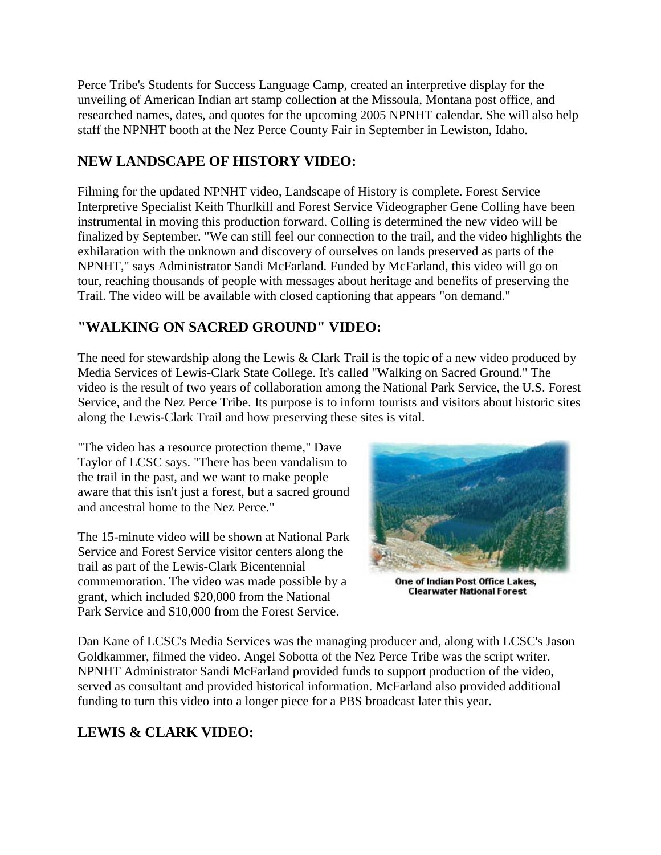Perce Tribe's Students for Success Language Camp, created an interpretive display for the unveiling of American Indian art stamp collection at the Missoula, Montana post office, and researched names, dates, and quotes for the upcoming 2005 NPNHT calendar. She will also help staff the NPNHT booth at the Nez Perce County Fair in September in Lewiston, Idaho.

#### **NEW LANDSCAPE OF HISTORY VIDEO:**

Filming for the updated NPNHT video, Landscape of History is complete. Forest Service Interpretive Specialist Keith Thurlkill and Forest Service Videographer Gene Colling have been instrumental in moving this production forward. Colling is determined the new video will be finalized by September. "We can still feel our connection to the trail, and the video highlights the exhilaration with the unknown and discovery of ourselves on lands preserved as parts of the NPNHT," says Administrator Sandi McFarland. Funded by McFarland, this video will go on tour, reaching thousands of people with messages about heritage and benefits of preserving the Trail. The video will be available with closed captioning that appears "on demand."

#### **"WALKING ON SACRED GROUND" VIDEO:**

The need for stewardship along the Lewis & Clark Trail is the topic of a new video produced by Media Services of Lewis-Clark State College. It's called "Walking on Sacred Ground." The video is the result of two years of collaboration among the National Park Service, the U.S. Forest Service, and the Nez Perce Tribe. Its purpose is to inform tourists and visitors about historic sites along the Lewis-Clark Trail and how preserving these sites is vital.

"The video has a resource protection theme," Dave Taylor of LCSC says. "There has been vandalism to the trail in the past, and we want to make people aware that this isn't just a forest, but a sacred ground and ancestral home to the Nez Perce."

The 15-minute video will be shown at National Park Service and Forest Service visitor centers along the trail as part of the Lewis-Clark Bicentennial commemoration. The video was made possible by a grant, which included \$20,000 from the National Park Service and \$10,000 from the Forest Service.



One of Indian Post Office Lakes, **Clearwater National Forest** 

Dan Kane of LCSC's Media Services was the managing producer and, along with LCSC's Jason Goldkammer, filmed the video. Angel Sobotta of the Nez Perce Tribe was the script writer. NPNHT Administrator Sandi McFarland provided funds to support production of the video, served as consultant and provided historical information. McFarland also provided additional funding to turn this video into a longer piece for a PBS broadcast later this year.

#### **LEWIS & CLARK VIDEO:**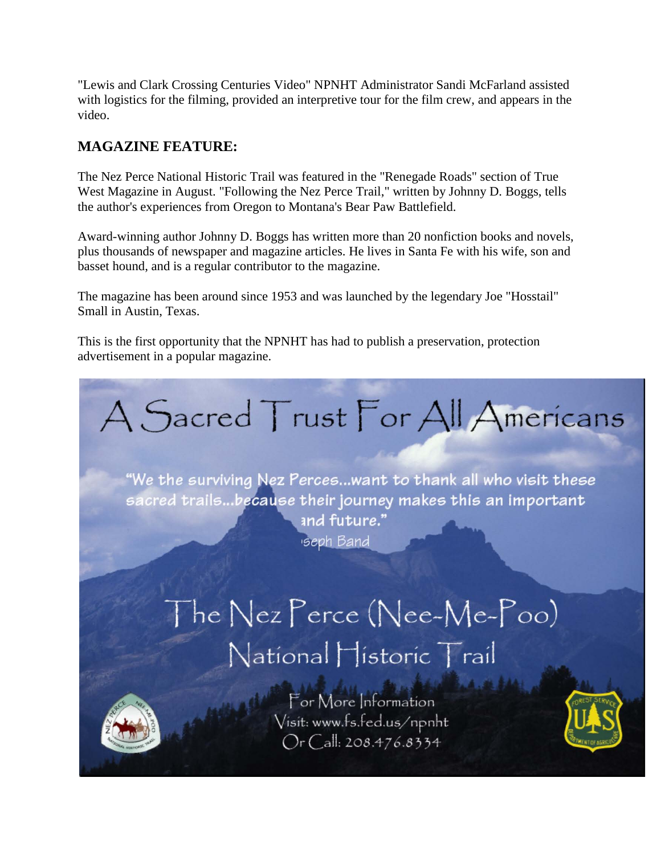"Lewis and Clark Crossing Centuries Video" NPNHT Administrator Sandi McFarland assisted with logistics for the filming, provided an interpretive tour for the film crew, and appears in the video.

#### **MAGAZINE FEATURE:**

The Nez Perce National Historic Trail was featured in the "Renegade Roads" section of True West Magazine in August. "Following the Nez Perce Trail," written by Johnny D. Boggs, tells the author's experiences from Oregon to Montana's Bear Paw Battlefield.

Award-winning author Johnny D. Boggs has written more than 20 nonfiction books and novels, plus thousands of newspaper and magazine articles. He lives in Santa Fe with his wife, son and basset hound, and is a regular contributor to the magazine.

The magazine has been around since 1953 and was launched by the legendary Joe "Hosstail" Small in Austin, Texas.

This is the first opportunity that the NPNHT has had to publish a preservation, protection advertisement in a popular magazine.



"We the surviving Nez Perces...want to thank all who visit these sacred trails...because their journey makes this an important and future." **seph Band** 

# The Nez Perce (Nee-Me-Poo) National Historic Trail



For More Information Visit: www.fs.fed.us/npnht Or Call: 208.476.8334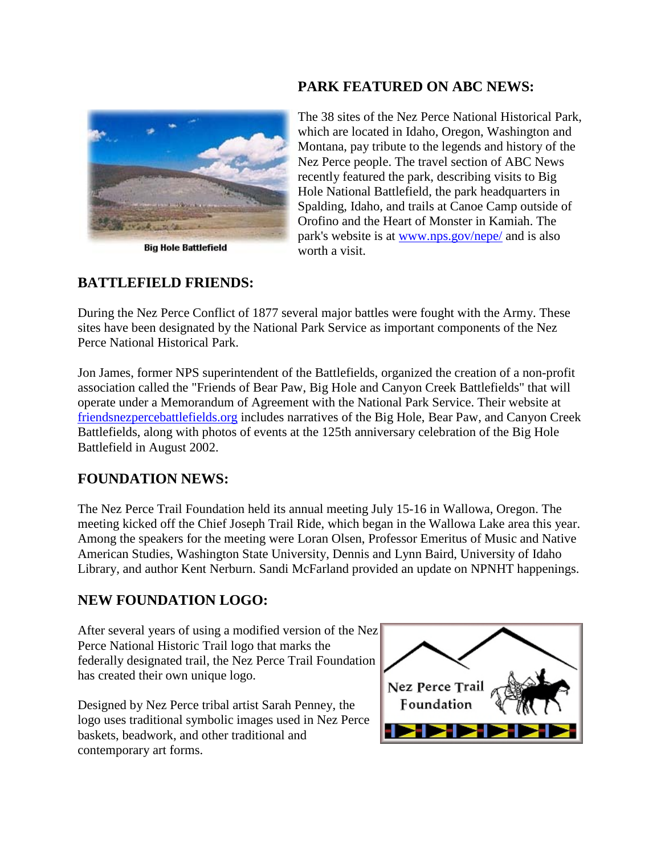

**Big Hole Battlefield** 

#### **PARK FEATURED ON ABC NEWS:**

The 38 sites of the Nez Perce National Historical Park, which are located in Idaho, Oregon, Washington and Montana, pay tribute to the legends and history of the Nez Perce people. The travel section of ABC News recently featured the park, describing visits to Big Hole National Battlefield, the park headquarters in Spalding, Idaho, and trails at Canoe Camp outside of Orofino and the Heart of Monster in Kamiah. The park's website is at [www.nps.gov/nepe/](http://www.nps.gov/nepe/) and is also worth a visit.

#### **BATTLEFIELD FRIENDS:**

During the Nez Perce Conflict of 1877 several major battles were fought with the Army. These sites have been designated by the National Park Service as important components of the Nez Perce National Historical Park.

Jon James, former NPS superintendent of the Battlefields, organized the creation of a non-profit association called the "Friends of Bear Paw, Big Hole and Canyon Creek Battlefields" that will operate under a Memorandum of Agreement with the National Park Service. Their website at [friendsnezpercebattlefields.org](http://www.friendsnezpercebattlefields.org/) includes narratives of the Big Hole, Bear Paw, and Canyon Creek Battlefields, along with photos of events at the 125th anniversary celebration of the Big Hole Battlefield in August 2002.

#### **FOUNDATION NEWS:**

The Nez Perce Trail Foundation held its annual meeting July 15-16 in Wallowa, Oregon. The meeting kicked off the Chief Joseph Trail Ride, which began in the Wallowa Lake area this year. Among the speakers for the meeting were Loran Olsen, Professor Emeritus of Music and Native American Studies, Washington State University, Dennis and Lynn Baird, University of Idaho Library, and author Kent Nerburn. Sandi McFarland provided an update on NPNHT happenings.

#### **NEW FOUNDATION LOGO:**

After several years of using a modified version of the Nez Perce National Historic Trail logo that marks the federally designated trail, the Nez Perce Trail Foundation has created their own unique logo.

Designed by Nez Perce tribal artist Sarah Penney, the logo uses traditional symbolic images used in Nez Perce baskets, beadwork, and other traditional and contemporary art forms.

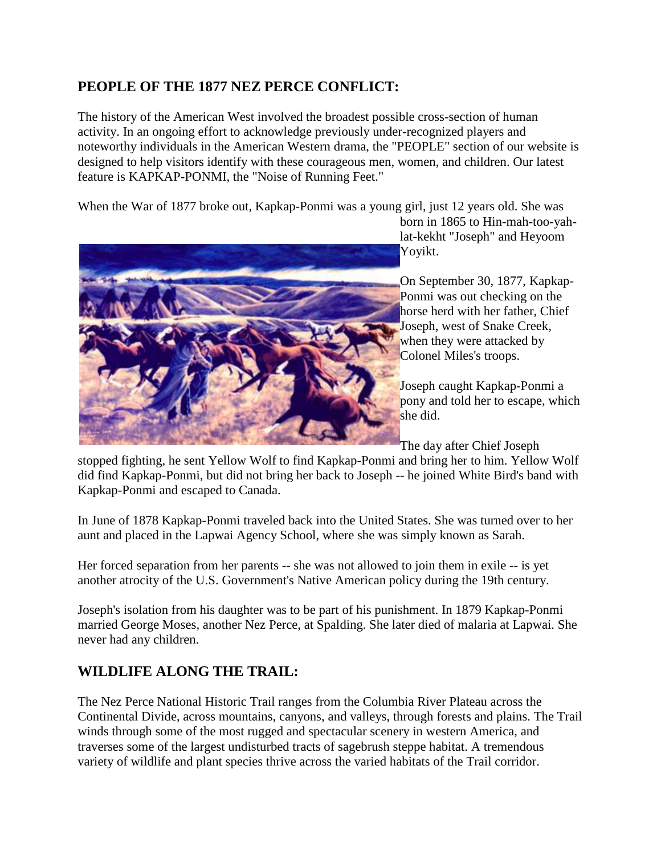#### **PEOPLE OF THE 1877 NEZ PERCE CONFLICT:**

The history of the American West involved the broadest possible cross-section of human activity. In an ongoing effort to acknowledge previously under-recognized players and noteworthy individuals in the American Western drama, the "PEOPLE" section of our website is designed to help visitors identify with these courageous men, women, and children. Our latest feature is KAPKAP-PONMI, the "Noise of Running Feet."

When the War of 1877 broke out, Kapkap-Ponmi was a young girl, just 12 years old. She was



born in 1865 to Hin-mah-too-yahlat-kekht "Joseph" and Heyoom Yoyikt.

On September 30, 1877, Kapkap-Ponmi was out checking on the horse herd with her father, Chief Joseph, west of Snake Creek, when they were attacked by Colonel Miles's troops.

Joseph caught Kapkap-Ponmi a pony and told her to escape, which she did.

The day after Chief Joseph

stopped fighting, he sent Yellow Wolf to find Kapkap-Ponmi and bring her to him. Yellow Wolf did find Kapkap-Ponmi, but did not bring her back to Joseph -- he joined White Bird's band with Kapkap-Ponmi and escaped to Canada.

In June of 1878 Kapkap-Ponmi traveled back into the United States. She was turned over to her aunt and placed in the Lapwai Agency School, where she was simply known as Sarah.

Her forced separation from her parents -- she was not allowed to join them in exile -- is yet another atrocity of the U.S. Government's Native American policy during the 19th century.

Joseph's isolation from his daughter was to be part of his punishment. In 1879 Kapkap-Ponmi married George Moses, another Nez Perce, at Spalding. She later died of malaria at Lapwai. She never had any children.

#### **WILDLIFE ALONG THE TRAIL:**

The Nez Perce National Historic Trail ranges from the Columbia River Plateau across the Continental Divide, across mountains, canyons, and valleys, through forests and plains. The Trail winds through some of the most rugged and spectacular scenery in western America, and traverses some of the largest undisturbed tracts of sagebrush steppe habitat. A tremendous variety of wildlife and plant species thrive across the varied habitats of the Trail corridor.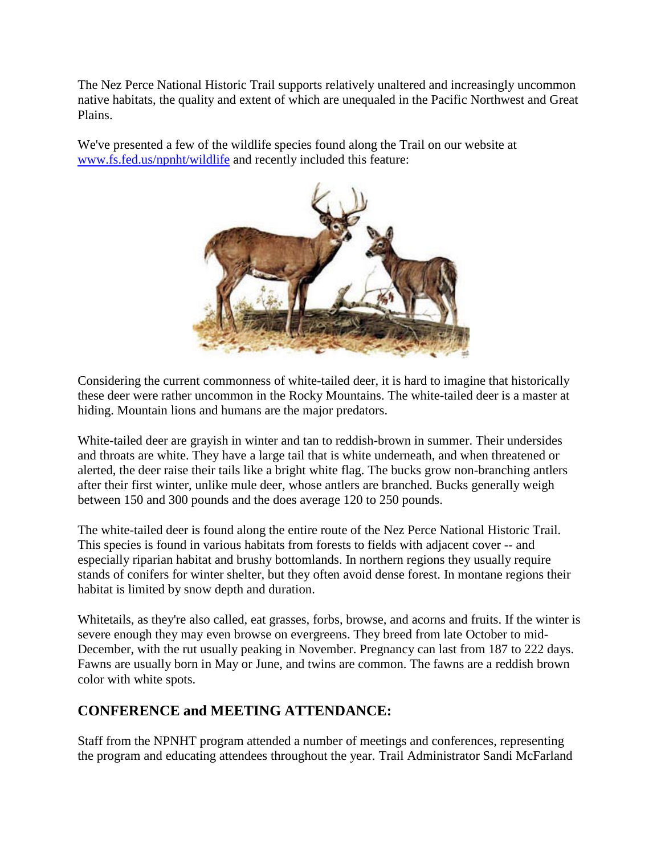The Nez Perce National Historic Trail supports relatively unaltered and increasingly uncommon native habitats, the quality and extent of which are unequaled in the Pacific Northwest and Great Plains.

We've presented a few of the wildlife species found along the Trail on our website at www.fs.fed.us/npnht/wildlife and recently included this feature:



Considering the current commonness of white-tailed deer, it is hard to imagine that historically these deer were rather uncommon in the Rocky Mountains. The white-tailed deer is a master at hiding. Mountain lions and humans are the major predators.

White-tailed deer are grayish in winter and tan to reddish-brown in summer. Their undersides and throats are white. They have a large tail that is white underneath, and when threatened or alerted, the deer raise their tails like a bright white flag. The bucks grow non-branching antlers after their first winter, unlike mule deer, whose antlers are branched. Bucks generally weigh between 150 and 300 pounds and the does average 120 to 250 pounds.

The white-tailed deer is found along the entire route of the Nez Perce National Historic Trail. This species is found in various habitats from forests to fields with adjacent cover -- and especially riparian habitat and brushy bottomlands. In northern regions they usually require stands of conifers for winter shelter, but they often avoid dense forest. In montane regions their habitat is limited by snow depth and duration.

Whitetails, as they're also called, eat grasses, forbs, browse, and acorns and fruits. If the winter is severe enough they may even browse on evergreens. They breed from late October to mid-December, with the rut usually peaking in November. Pregnancy can last from 187 to 222 days. Fawns are usually born in May or June, and twins are common. The fawns are a reddish brown color with white spots.

#### **CONFERENCE and MEETING ATTENDANCE:**

Staff from the NPNHT program attended a number of meetings and conferences, representing the program and educating attendees throughout the year. Trail Administrator Sandi McFarland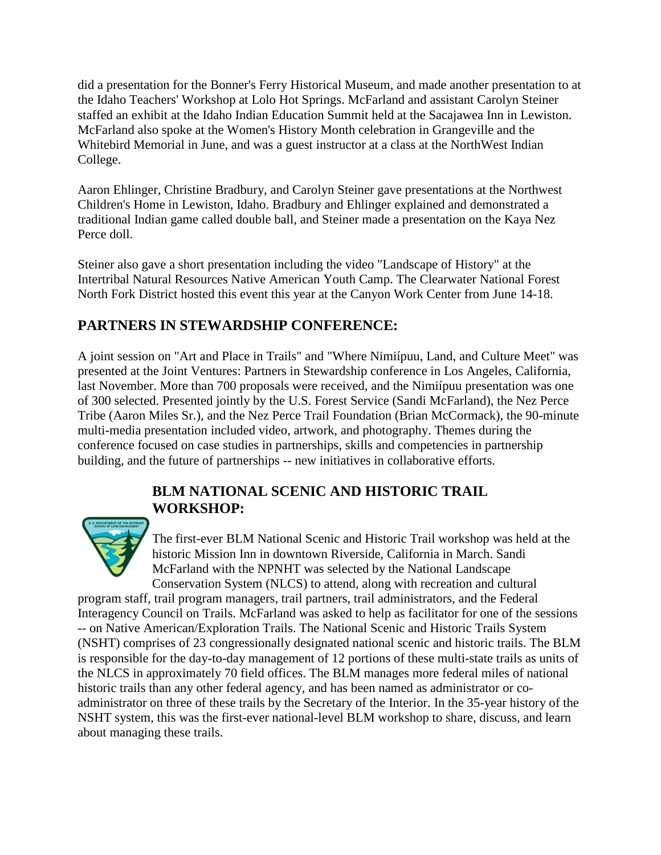did a presentation for the Bonner's Ferry Historical Museum, and made another presentation to at the Idaho Teachers' Workshop at Lolo Hot Springs. McFarland and assistant Carolyn Steiner staffed an exhibit at the Idaho Indian Education Summit held at the Sacajawea Inn in Lewiston. McFarland also spoke at the Women's History Month celebration in Grangeville and the Whitebird Memorial in June, and was a guest instructor at a class at the NorthWest Indian College.

Aaron Ehlinger, Christine Bradbury, and Carolyn Steiner gave presentations at the Northwest Children's Home in Lewiston, Idaho. Bradbury and Ehlinger explained and demonstrated a traditional Indian game called double ball, and Steiner made a presentation on the Kaya Nez Perce doll.

Steiner also gave a short presentation including the video "Landscape of History" at the Intertribal Natural Resources Native American Youth Camp. The Clearwater National Forest North Fork District hosted this event this year at the Canyon Work Center from June 14-18.

#### **PARTNERS IN STEWARDSHIP CONFERENCE:**

A joint session on "Art and Place in Trails" and "Where Nimiípuu, Land, and Culture Meet" was presented at the Joint Ventures: Partners in Stewardship conference in Los Angeles, California, last November. More than 700 proposals were received, and the Nimiípuu presentation was one of 300 selected. Presented jointly by the U.S. Forest Service (Sandi McFarland), the Nez Perce Tribe (Aaron Miles Sr.), and the Nez Perce Trail Foundation (Brian McCormack), the 90-minute multi-media presentation included video, artwork, and photography. Themes during the conference focused on case studies in partnerships, skills and competencies in partnership building, and the future of partnerships -- new initiatives in collaborative efforts.

#### **BLM NATIONAL SCENIC AND HISTORIC TRAIL WORKSHOP:**



The first-ever BLM National Scenic and Historic Trail workshop was held at the historic Mission Inn in downtown Riverside, California in March. Sandi McFarland with the NPNHT was selected by the National Landscape Conservation System (NLCS) to attend, along with recreation and cultural

program staff, trail program managers, trail partners, trail administrators, and the Federal Interagency Council on Trails. McFarland was asked to help as facilitator for one of the sessions -- on Native American/Exploration Trails. The National Scenic and Historic Trails System (NSHT) comprises of 23 congressionally designated national scenic and historic trails. The BLM is responsible for the day-to-day management of 12 portions of these multi-state trails as units of the NLCS in approximately 70 field offices. The BLM manages more federal miles of national historic trails than any other federal agency, and has been named as administrator or coadministrator on three of these trails by the Secretary of the Interior. In the 35-year history of the NSHT system, this was the first-ever national-level BLM workshop to share, discuss, and learn about managing these trails.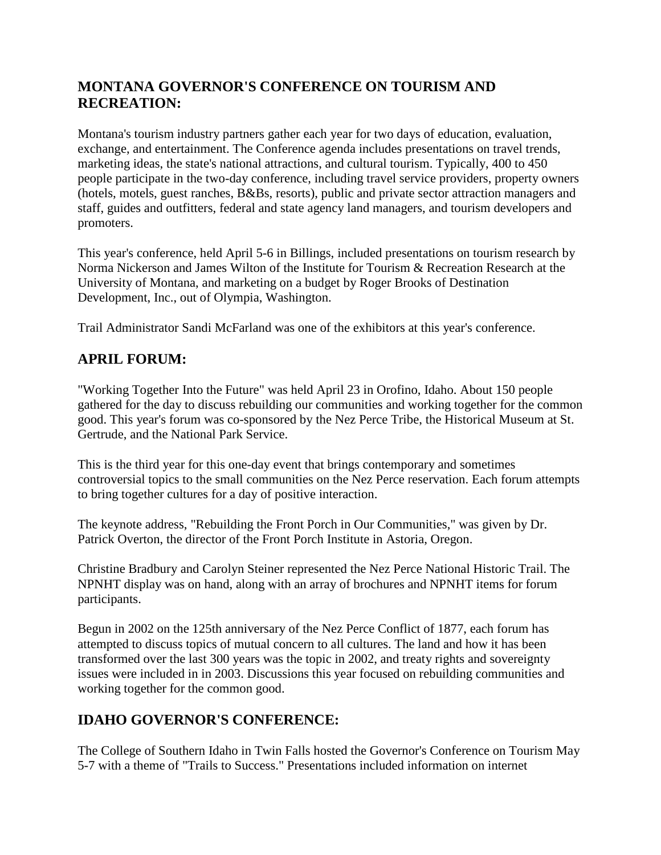#### **MONTANA GOVERNOR'S CONFERENCE ON TOURISM AND RECREATION:**

Montana's tourism industry partners gather each year for two days of education, evaluation, exchange, and entertainment. The Conference agenda includes presentations on travel trends, marketing ideas, the state's national attractions, and cultural tourism. Typically, 400 to 450 people participate in the two-day conference, including travel service providers, property owners (hotels, motels, guest ranches, B&Bs, resorts), public and private sector attraction managers and staff, guides and outfitters, federal and state agency land managers, and tourism developers and promoters.

This year's conference, held April 5-6 in Billings, included presentations on tourism research by Norma Nickerson and James Wilton of the Institute for Tourism & Recreation Research at the University of Montana, and marketing on a budget by Roger Brooks of Destination Development, Inc., out of Olympia, Washington.

Trail Administrator Sandi McFarland was one of the exhibitors at this year's conference.

#### **APRIL FORUM:**

"Working Together Into the Future" was held April 23 in Orofino, Idaho. About 150 people gathered for the day to discuss rebuilding our communities and working together for the common good. This year's forum was co-sponsored by the Nez Perce Tribe, the Historical Museum at St. Gertrude, and the National Park Service.

This is the third year for this one-day event that brings contemporary and sometimes controversial topics to the small communities on the Nez Perce reservation. Each forum attempts to bring together cultures for a day of positive interaction.

The keynote address, "Rebuilding the Front Porch in Our Communities," was given by Dr. Patrick Overton, the director of the Front Porch Institute in Astoria, Oregon.

Christine Bradbury and Carolyn Steiner represented the Nez Perce National Historic Trail. The NPNHT display was on hand, along with an array of brochures and NPNHT items for forum participants.

Begun in 2002 on the 125th anniversary of the Nez Perce Conflict of 1877, each forum has attempted to discuss topics of mutual concern to all cultures. The land and how it has been transformed over the last 300 years was the topic in 2002, and treaty rights and sovereignty issues were included in in 2003. Discussions this year focused on rebuilding communities and working together for the common good.

#### **IDAHO GOVERNOR'S CONFERENCE:**

The College of Southern Idaho in Twin Falls hosted the Governor's Conference on Tourism May 5-7 with a theme of "Trails to Success." Presentations included information on internet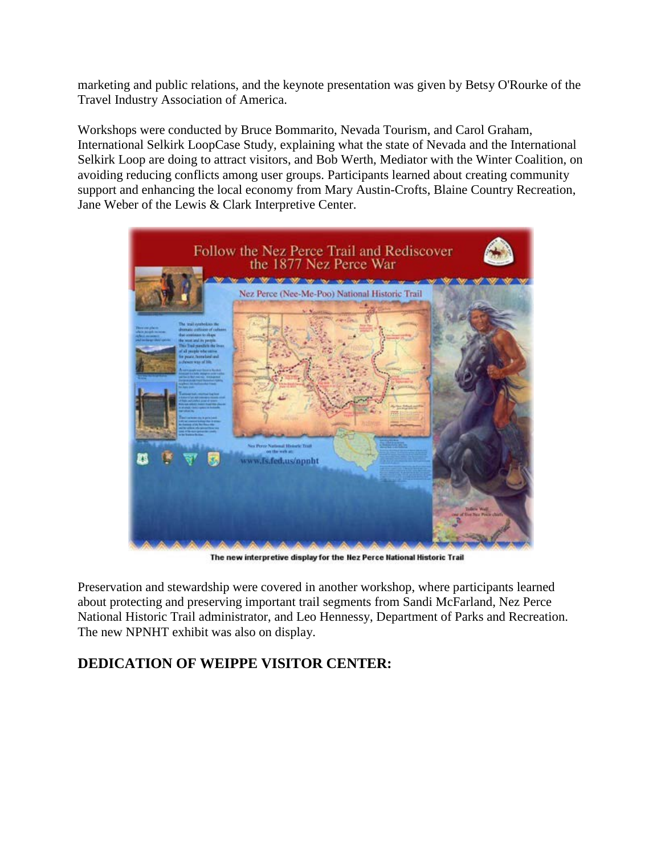marketing and public relations, and the keynote presentation was given by Betsy O'Rourke of the Travel Industry Association of America.

Workshops were conducted by Bruce Bommarito, Nevada Tourism, and Carol Graham, International Selkirk LoopCase Study, explaining what the state of Nevada and the International Selkirk Loop are doing to attract visitors, and Bob Werth, Mediator with the Winter Coalition, on avoiding reducing conflicts among user groups. Participants learned about creating community support and enhancing the local economy from Mary Austin-Crofts, Blaine Country Recreation, Jane Weber of the Lewis & Clark Interpretive Center.



The new interpretive display for the Nez Perce National Historic Trail

Preservation and stewardship were covered in another workshop, where participants learned about protecting and preserving important trail segments from Sandi McFarland, Nez Perce National Historic Trail administrator, and Leo Hennessy, Department of Parks and Recreation. The new NPNHT exhibit was also on display.

#### **DEDICATION OF WEIPPE VISITOR CENTER:**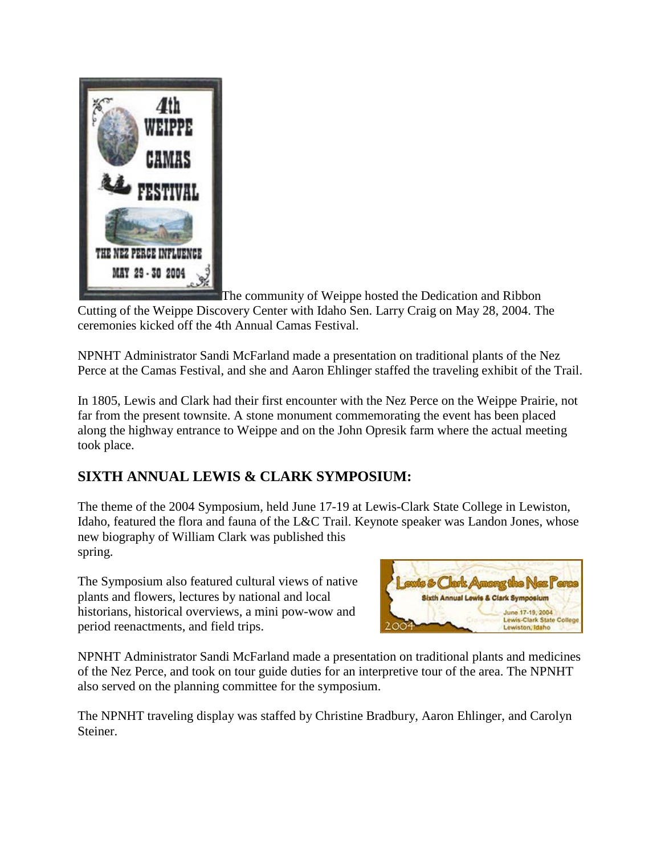

The community of Weippe hosted the Dedication and Ribbon Cutting of the Weippe Discovery Center with Idaho Sen. Larry Craig on May 28, 2004. The ceremonies kicked off the 4th Annual Camas Festival.

NPNHT Administrator Sandi McFarland made a presentation on traditional plants of the Nez Perce at the Camas Festival, and she and Aaron Ehlinger staffed the traveling exhibit of the Trail.

In 1805, Lewis and Clark had their first encounter with the Nez Perce on the Weippe Prairie, not far from the present townsite. A stone monument commemorating the event has been placed along the highway entrance to Weippe and on the John Opresik farm where the actual meeting took place.

#### **SIXTH ANNUAL LEWIS & CLARK SYMPOSIUM:**

The theme of the 2004 Symposium, held June 17-19 at Lewis-Clark State College in Lewiston, Idaho, featured the flora and fauna of the L&C Trail. Keynote speaker was Landon Jones, whose new biography of William Clark was published this spring.

The Symposium also featured cultural views of native plants and flowers, lectures by national and local historians, historical overviews, a mini pow-wow and period reenactments, and field trips.



NPNHT Administrator Sandi McFarland made a presentation on traditional plants and medicines of the Nez Perce, and took on tour guide duties for an interpretive tour of the area. The NPNHT also served on the planning committee for the symposium.

The NPNHT traveling display was staffed by Christine Bradbury, Aaron Ehlinger, and Carolyn Steiner.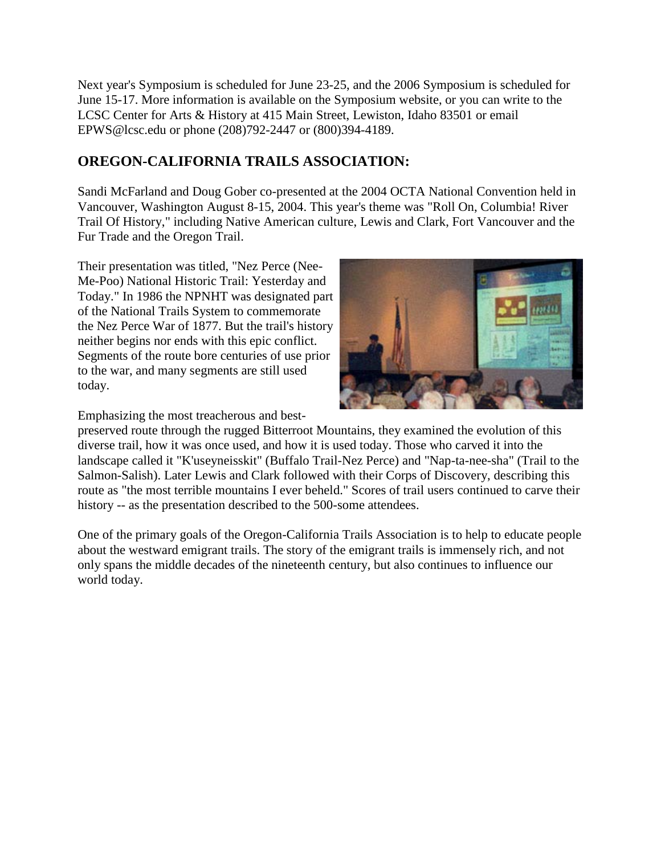Next year's Symposium is scheduled for June 23-25, and the 2006 Symposium is scheduled for June 15-17. More information is available on the Symposium website, or you can write to the LCSC Center for Arts & History at 415 Main Street, Lewiston, Idaho 83501 or email EPWS@lcsc.edu or phone (208)792-2447 or (800)394-4189.

#### **OREGON-CALIFORNIA TRAILS ASSOCIATION:**

Sandi McFarland and Doug Gober co-presented at the 2004 OCTA National Convention held in Vancouver, Washington August 8-15, 2004. This year's theme was "Roll On, Columbia! River Trail Of History," including Native American culture, Lewis and Clark, Fort Vancouver and the Fur Trade and the Oregon Trail.

Their presentation was titled, "Nez Perce (Nee-Me-Poo) National Historic Trail: Yesterday and Today." In 1986 the NPNHT was designated part of the National Trails System to commemorate the Nez Perce War of 1877. But the trail's history neither begins nor ends with this epic conflict. Segments of the route bore centuries of use prior to the war, and many segments are still used today.



Emphasizing the most treacherous and best-

preserved route through the rugged Bitterroot Mountains, they examined the evolution of this diverse trail, how it was once used, and how it is used today. Those who carved it into the landscape called it "K'useyneisskit" (Buffalo Trail-Nez Perce) and "Nap-ta-nee-sha" (Trail to the Salmon-Salish). Later Lewis and Clark followed with their Corps of Discovery, describing this route as "the most terrible mountains I ever beheld." Scores of trail users continued to carve their history -- as the presentation described to the 500-some attendees.

One of the primary goals of the Oregon-California Trails Association is to help to educate people about the westward emigrant trails. The story of the emigrant trails is immensely rich, and not only spans the middle decades of the nineteenth century, but also continues to influence our world today.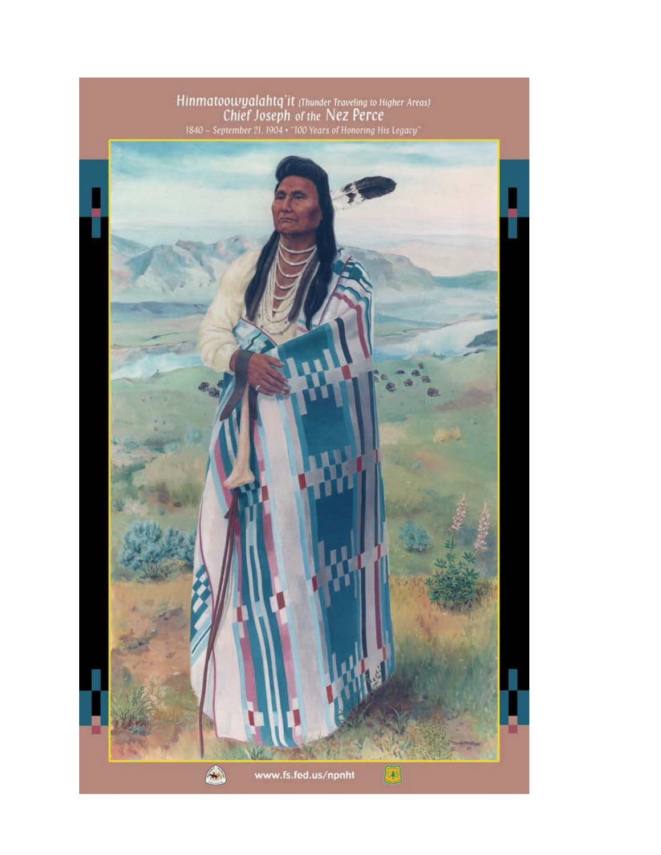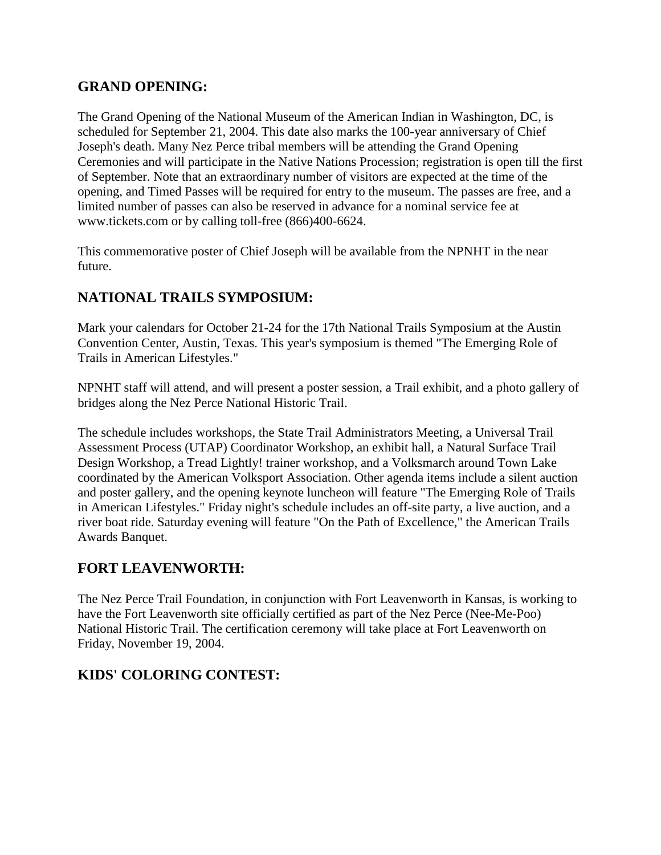#### **GRAND OPENING:**

The Grand Opening of the National Museum of the American Indian in Washington, DC, is scheduled for September 21, 2004. This date also marks the 100-year anniversary of Chief Joseph's death. Many Nez Perce tribal members will be attending the Grand Opening Ceremonies and will participate in the Native Nations Procession; registration is open till the first of September. Note that an extraordinary number of visitors are expected at the time of the opening, and Timed Passes will be required for entry to the museum. The passes are free, and a limited number of passes can also be reserved in advance for a nominal service fee at www.tickets.com or by calling toll-free (866)400-6624.

This commemorative poster of Chief Joseph will be available from the NPNHT in the near future.

#### **NATIONAL TRAILS SYMPOSIUM:**

Mark your calendars for October 21-24 for the 17th National Trails Symposium at the Austin Convention Center, Austin, Texas. This year's symposium is themed "The Emerging Role of Trails in American Lifestyles."

NPNHT staff will attend, and will present a poster session, a Trail exhibit, and a photo gallery of bridges along the Nez Perce National Historic Trail.

The schedule includes workshops, the State Trail Administrators Meeting, a Universal Trail Assessment Process (UTAP) Coordinator Workshop, an exhibit hall, a Natural Surface Trail Design Workshop, a Tread Lightly! trainer workshop, and a Volksmarch around Town Lake coordinated by the American Volksport Association. Other agenda items include a silent auction and poster gallery, and the opening keynote luncheon will feature "The Emerging Role of Trails in American Lifestyles." Friday night's schedule includes an off-site party, a live auction, and a river boat ride. Saturday evening will feature "On the Path of Excellence," the American Trails Awards Banquet.

#### **FORT LEAVENWORTH:**

The Nez Perce Trail Foundation, in conjunction with Fort Leavenworth in Kansas, is working to have the Fort Leavenworth site officially certified as part of the Nez Perce (Nee-Me-Poo) National Historic Trail. The certification ceremony will take place at Fort Leavenworth on Friday, November 19, 2004.

#### **KIDS' COLORING CONTEST:**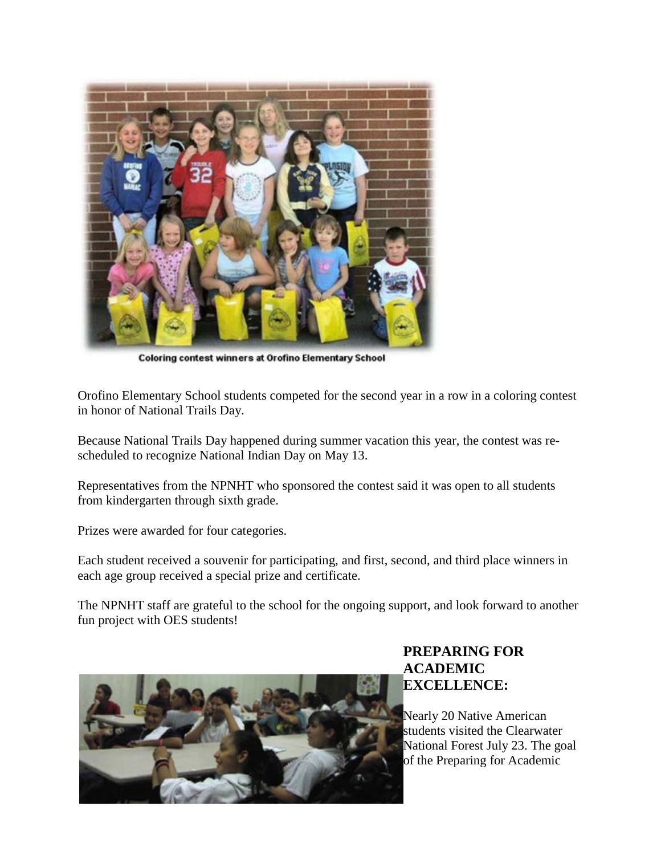

**Coloring contest winners at Orofino Elementary School** 

Orofino Elementary School students competed for the second year in a row in a coloring contest in honor of National Trails Day.

Because National Trails Day happened during summer vacation this year, the contest was rescheduled to recognize National Indian Day on May 13.

Representatives from the NPNHT who sponsored the contest said it was open to all students from kindergarten through sixth grade.

Prizes were awarded for four categories.

Each student received a souvenir for participating, and first, second, and third place winners in each age group received a special prize and certificate.

The NPNHT staff are grateful to the school for the ongoing support, and look forward to another fun project with OES students!



#### **PREPARING FOR ACADEMIC EXCELLENCE:**

Nearly 20 Native American students visited the Clearwater National Forest July 23. The goal of the Preparing for Academic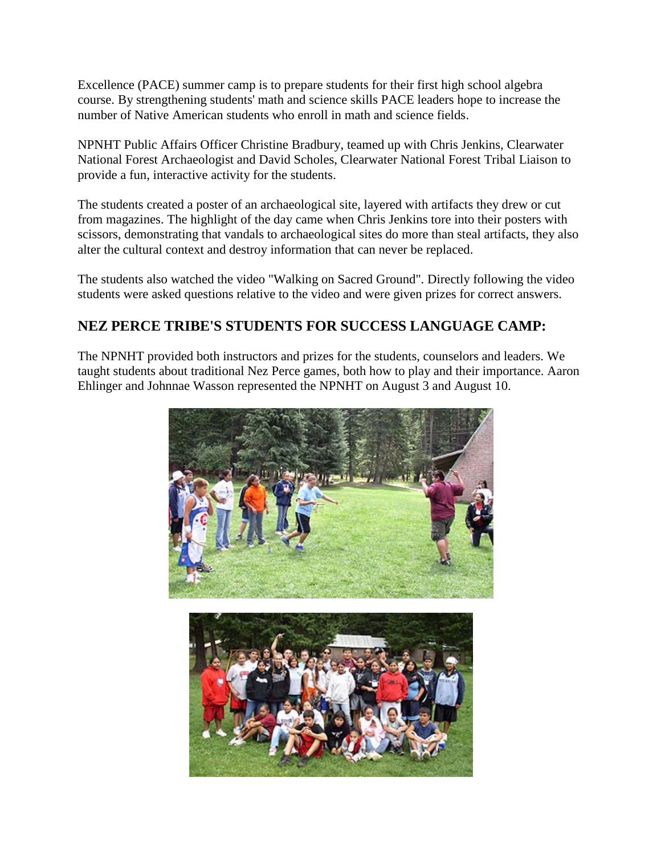Excellence (PACE) summer camp is to prepare students for their first high school algebra course. By strengthening students' math and science skills PACE leaders hope to increase the number of Native American students who enroll in math and science fields.

NPNHT Public Affairs Officer Christine Bradbury, teamed up with Chris Jenkins, Clearwater National Forest Archaeologist and David Scholes, Clearwater National Forest Tribal Liaison to provide a fun, interactive activity for the students.

The students created a poster of an archaeological site, layered with artifacts they drew or cut from magazines. The highlight of the day came when Chris Jenkins tore into their posters with scissors, demonstrating that vandals to archaeological sites do more than steal artifacts, they also alter the cultural context and destroy information that can never be replaced.

The students also watched the video "Walking on Sacred Ground". Directly following the video students were asked questions relative to the video and were given prizes for correct answers.

#### **NEZ PERCE TRIBE'S STUDENTS FOR SUCCESS LANGUAGE CAMP:**

The NPNHT provided both instructors and prizes for the students, counselors and leaders. We taught students about traditional Nez Perce games, both how to play and their importance. Aaron Ehlinger and Johnnae Wasson represented the NPNHT on August 3 and August 10.